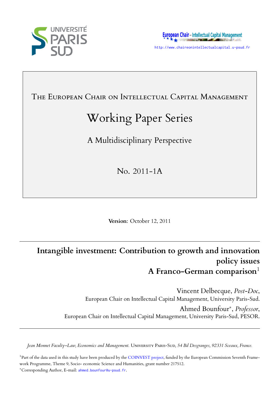



THE EUROPEAN CHAIR ON INTELLECTUAL CAPITAL MANAGEMENT

# Working Paper Series

A Multidisciplinary Perspective

No. 2011-1A

**Version**: October 12, 2011

## **Intangible investment: Contribution to growth and innovation policy issues A Franco-German comparison**<sup>1</sup>

Vincent Delbecque, *Post-Doc*, European Chair on Intellectual Capital Management, University Paris-Sud.

Ahmed Bounfour*∗* , *Professor*, European Chair on Intellectual Capital Management, University Paris-Sud, PESOR.

*Jean Monnet Faculty–Law, Economics and Management.* Uᴠᴇᴛ Pᴀ-Sᴜᴅ*, 54 Bd Desgranges, 92331 Sceaux, France.*

<sup>1</sup>Part of the data used in this study have been produced by the COINVEST project, funded by the European Commission Seventh Framework Programme, Theme 9, Socio- economic Science and Humanities, grant number 217512. *<sup>∗</sup>*Corresponding Author, E-mail: ahmed.bounfour@u-psud.fr.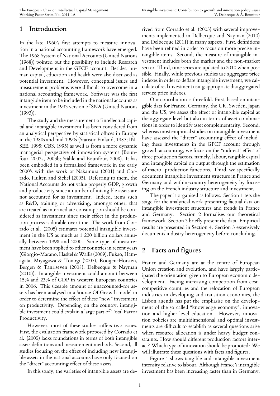## **1 Introduction**

In the late 1960's first attempts to measure innovation in a national accounting framework have emerged. The 1968 System of National Accounts (United Nations (1968)) pointed out the possibility to include Research and Development in the GFCF account. Besides, human capital, education and health were also discussed as potential investment. However, conceptual issues and measurement problems were difficult to overcome in a national accounting framework. Software was the first intangible item to be included in the national accounts as investment in the 1993 version of SNA (United Nations  $(1993)$ .

The study and the measurement of intellectual capital and intangible investment has been considered from an analytical perspective by statistical offices in Europe in the 1980s and mid 1990s (Statistic Finland, 1987; IN-SEE, 1995; CBS, 1995) as well as from a more dynamic managerial perspective of innovation systems (Bounfour, 2003a, 2003b; Ståhle and Bounfour, 2008). It has been embodied in a formalised framework in the early 2000's with the work of Nakamura (2001) and Corrado, Hulten and Sichel (2005). Referring to them, the National Accounts do not value properly GDP, growth and productivity since a number of intangible assets are not accounted for as investment. Indeed, items such as R&D, training or advertising, amongst other, that are treated as intermediate consumption should be considered as investment since their effect in the production process is durable over time. The work from Corrado et al. (2005) estimates potential intangible investment in the US as much as 1 220 billion dollars annually between 1998 and 2000. Same type of measurement have been applied to other countries in recent years (Giorgio-Marano, Haskel & Wallis (2009), Fukao, Hamagata, Miyagawa & Tonogi (2007), Rooijen-Horsten, Bergen & Tanriseven (2008), Delbecque & Nayman (2010)). Intangible investment could amount between 15% and 23% of GDP in western European countries in 2006. This sizeable amount of unaccounted-for assets has been analysed in a Source Of Growth model in order to determine the effect of these "new" investment on productivity. Depending on the country, intangible investment could explain a large part of Total Factor Productivity.

However, most of these studies suffers two issues. First, the evaluation framework proposed by Corrado et al. (2005) lacks foundations in terms of both intangible assets definitions and measurement methods. Second, all studies focusing on the effect of including new intangible assets in the national accounts have only focused on the "direct" accounting effect of these assets.

In this study, the varieties of intangible assets are de-

rived from Corrado et al. (2005) with several improvements implemented in Delbecque and Nayman (2010) and Delbecque (2011) in many aspects. First, definitions have been refined in order to focus on more precise intangible items. Second, the measure of intangible investment includes both the market and the non-market sector. Third, time series are updated to 2010 when possible. Finally, while previous studies use aggregate price indexes in order to deflate intangible investment, we calculate of real investment using appropriate disaggregated service price indexes.

Our contribution is threefold. First, based on intangible data for France, Germany, the UK, Sweden, Japan and the US, we assess the effect of intangible capital at the aggregate level but also in terms of asset combinations in order to identify asset complementarity. Second, whereas most empirical studies on intangible investment have assessed the "direct" accounting effect of including these investments in the GFCF account through growth accounting, we focus on the "indirect" effect of three production factors, namely, labour, tangible capital and intangible capital on output through the estimation of macro- production functions. Third, we specifically document intangible investment structure in France and Germany and within-country heterogeneity by focusing on the French industry structure and investment.

The paper is organised as follows. Section 1 sets the stage for the analytical work presenting factual data on intangible investment structures and trends in France and Germany. Section 2 formalises our theoretical framework. Section 3 briefly present the data. Empirical results are presented in Section 4. Section 5 extensively documents industry heterogeneity before concluding.

## **2 Facts and figures**

France and Germany are at the centre of European Union creation and evolution, and have largely participated the orientation given to European economic development. Facing increasing competition from costcompetitive countries and the relocation of European industries in developing and transition economies, the Lisbon agenda has put the emphasise on the development of the so called "knowledge economy", innovation and higher-level education. However, innovation policies are multidimensional and optimal investments are difficult to establish as several questions arise when resource allocation is under heavy budget constraints. How should different production factors interact? Which type of innovation should be promoted? We will illustrate these questions with facts and figures.

Figure 1 shows tangible and intangible investment intensity relative to labour. Although France's intangible investment has been increasing faster than in Germany,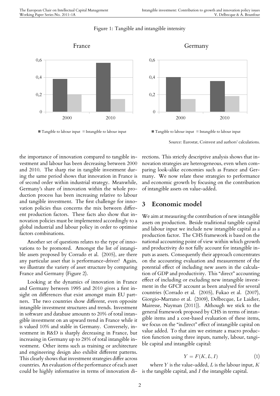#### Figure 1: Tangible and intangible intensity



France

 $\blacksquare$  Tangible to labour input  $\blacksquare$  Intangible to labour input

2000 2010  $\theta$ 0,2 0,4 0,6 Germany

 $\blacksquare$  Tangible to labour input  $\blacksquare$  Intangible to labour input

Source: Eurostat, Coinvest and authors' calculations.

Another set of questions relates to the type of innovations to be promoted. Amongst the list of intangible assets proposed by Corrado et al. (2005), are there any particular asset that is performance-driver? Again, we illustrate the variety of asset structure by comparing France and Germany (Figure 2).

Looking at the dynamics of innovation in France and Germany between 1995 and 2010 gives a first insight on differences that exist amongst main EU partners. The two countries show different, even opposite intangible investment structures and trends. Investment in software and database amounts to 20% of total intangible investment on an upward trend in France while it is valued 10% and stable in Germany. Conversely, investment in R&D is sharply decreasing in France, but increasing in Germany up to 28% of total intangible investment. Other items such as training or architecture and engineering design also exhibit different patterns. This clearly shows that investment strategies differ across countries. An evaluation of the performance of each asset could be highly informative in terms of innovation di-is the tangible capital, and *I* the intangible capital.

rections. This strictly descriptive analysis shows that innovation strategies are heterogeneous, even when comparing look-alike economies such as France and Germany. We now relate these strategies to performance and economic growth by focusing on the contribution of intangible assets on value-added.

## **3 Economic model**

We aim at measuring the contribution of new intangible assets on production. Beside traditional tangible capital and labour input we include new intangible capital as a production factor. The CHS framework is based on the national accounting point of view within which growth and productivity do not fully account for intangible inputs as assets. Consequently their approach concentrates on the accounting evaluation and measurement of the potential effect of including new assets in the calculation of GDP and productivity. This "direct" accounting effect of including or excluding new intangible investment in the GFCF account as been analysed for several countries (Corrado et al. (2005), Fukao et al. (2007), Giorgio-Marrano et al. (2009), Delbecque, Le Laidier, Mairesse, Nayman (2011)). Although we stick to the general framework proposed by CHS in terms of intangible items and a cost-based evaluation of these items, we focus on the "indirect" effect of intangible capital on value added. To that aim we estimate a macro production function using three inputs, namely, labour, tangible capital and intangible capital:

$$
Y = F(K, L, I) \tag{1}
$$

where *Y* is the value-added, *L* is the labour input, *K*

the importance of innovation compared to tangible investment and labour has been decreasing between 2000 and 2010. The sharp rise in tangible investment during the same period shows that innovation in France is of second order within industrial strategy. Meanwhile, Germany's share of innovation within the whole production process has been increasing relative to labour and tangible investment. The first challenge for innovation policies thus concerns the mix between different production factors. These facts also show that innovation policies must be implemented accordingly to a global industrial and labour policy in order to optimise factors combinations.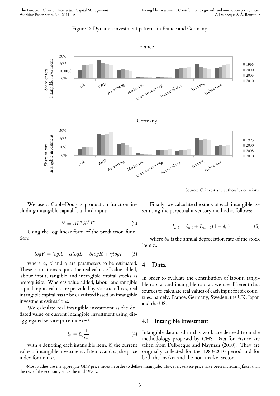

Source: Coinvest and authors' calculations.

We use a Cobb-Douglas production function including intangible capital as a third input:

$$
Y = A L^{\alpha} K^{\beta} I^{\gamma} \tag{2}
$$

Using the log-linear form of the production function:

$$
logY = logA + \alpha logL + \beta logK + \gamma logI
$$
 (3)

where  $\alpha$ ,  $\beta$  and  $\gamma$  are parameters to be estimated. These estimations require the real values of value added, labour input, tangible and intangible capital stocks as prerequisite. Whereas value added, labour and tangible capital inputs values are provided by statistic offices, real intangible capital has to be calculated based on intangible investment estimations.

We calculate real intangible investment as the deflated value of current intangible investment using disaggregated service price indexes<sup>1</sup>.

$$
i_n = i_n^c \frac{1}{p_n} \tag{4}
$$

with  $n$  denoting each intan[gib](#page-3-0)le item,  $i_n^c$  the current value of intangible investment of item *n* and *p<sup>n</sup>* the price index for item *n*.

Finally, we calculate the stock of each intangible asset using the perpetual inventory method as follows:

$$
I_{n,t} = i_{n,t} + I_{n,t-1}(1 - \delta_n)
$$
 (5)

where  $\delta_n$  is the annual depreciation rate of the stock item *n*.

#### **4 Data**

In order to evaluate the contribution of labour, tangible capital and intangible capital, we use different data sources to calculate real values of each input for six countries, namely, France, Germany, Sweden, the UK, Japan and the US.

#### **4.1 Intangible investment**

Intangible data used in this work are derived from the methodology proposed by CHS. Data for France are taken from Delbecque and Nayman (2010). They are originally collected for the 1980-2010 period and for both the market and the non-market sector.

<span id="page-3-0"></span><sup>&</sup>lt;sup>1</sup>Most studies use the aggregate GDP price index in order to deflate intangible. However, service price have been increasing faster than the rest of the economy since the mid 1990's.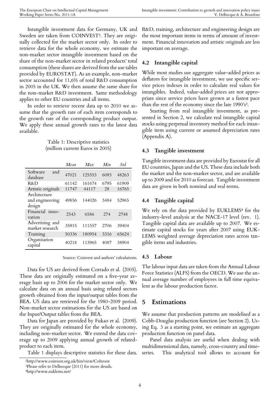Intangible investment data for Germany, UK and Sweden are taken from COINVEST². They are originally collected for the market sector only. In order to retrieve data for the whole economy, we estimate the non-market sector intangible invest[m](#page-4-0)ent based on the share of the non-market sector in related products' total consumption (these shares are derived from the use tables provided by EUROSTAT). As an example, non-market sector accounted for 11,6% of total R&D consumption in 2005 in the UK. We then assume the same share for the non-market R&D investment. Same methodology applies to other EU countries and all items.

In order to retrieve recent data up to 2010 we assume that the growth rate of each item corresponds to the growth rate of the corresponding product output. We apply these annual growth rates to the latest data available.

> Table 1: Descriptive statistics (million current Euros in 2005)

|                                           | Mean  | Max    | Min  | Std   |
|-------------------------------------------|-------|--------|------|-------|
| Software<br>and<br>database               | 47021 | 125553 | 6093 | 48263 |
| R&D                                       | 61142 | 161674 | 6795 | 61909 |
| Artistic originals                        | 11747 | 44117  | 28   | 16765 |
| Architecture<br>and engineering<br>design | 49856 | 144026 | 3484 | 52965 |
| Financial inno-<br>vation                 | 2543  | 6586   | 274  | 2748  |
| Advertising and<br>market research        | 35915 | 111557 | 2706 | 39404 |
| Training                                  | 50336 | 180954 | 3316 | 65624 |
| Organisation<br>capital                   | 40218 | 113965 | 4087 | 38904 |

Source: Coinvest and authors' calculations.

Data for US are derived from Corrado et al. (2005). These data are originally estimated on a five-year average basis up to 2006 for the market sector only. We calculate data on an annual basis using related sectors growth obtained from the input/output tables from the BEA. US data are retrieved for the 1980-2009 period. Non-market sector estimations for the US are based on the Input/Output tables from the BEA.

Data for Japan are provided by Fukao et al. (2009). They are originally estimated for the whole economy, including non-market sector. We extend the data coverage up to 2009 applying annual growth of relatedproduct to each item.

Table 1 displays descriptive statistics for these data.

#### **4.2 Intangible capital**

While most studies use aggregate value-added prices as deflators for intangible investment, we use specific service prices indexes in order to calculate real values for intangibles. Indeed, value-added prices are not appropriate since service prices have grown at a fastest pace than the rest of the economy since the late  $1990's<sup>3</sup>$ .

Starting from real intangible investment, as presented in Section 2, we calculate real intangible capital stocks using perpetual inventory method for each [i](#page-4-1)ntangible item using current or assumed depreciation rates (Appendix A).

#### **4.3 Tangible investment**

Tangible investment data are provided by Eurostat for all EU countries, Japan and the US. These data include both the market and the non-market sector, and are available up to 2009 and for 2010 as forecast. Tangible investment data are given in both nominal and real terms.

#### **4.4 Tangible capital**

We rely on the data provided by EUKLEMS<sup>4</sup> for the industry-level analysis at the NACE-17 level (rev. 1). Tangible capital data are available up to 2007. We estimate capital stocks for years after 2007 usi[ng](#page-4-2) EUK-LEMS weighted average depreciation rates across tangible items and industries.

#### **4.5 Labour**

The labour input data are taken from the Annual Labour Force Statistics (ALFS) from the OECD. We use the annual average number of employees in full time equivalent as the labour production factor.

#### **5 Estimations**

We assume that production patterns are modelised as a Cobb-Douglas production function (see Section 2). Using Eq. 3 as a starting point, we estimate an aggregate production function on panel data.

Panel data analysis are useful when dealing with multidimensional data, namely, cross-country and timeseries. This analytical tool allows to account for

²http://www.coinvest.org.uk/bin/view/CoInvest

<span id="page-4-2"></span><span id="page-4-1"></span><span id="page-4-0"></span>³Please refer to Delbecque (2011) for more details. ⁴http://www.euklems.net/

R&D, training, architecture and engineering design are the most important items in terms of amount of investment. Financial innovation and artistic originals are less important on average.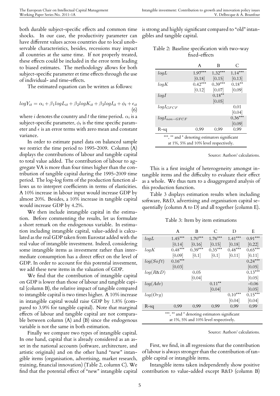both durable subject-specific effects and common time shocks. In our case, the productivity parameter can have different values across countries due to local unobservable characteristics, besides, recessions may impact all countries at the same time. If not properly treated, these effects could be included in the error term leading to biased estimates. The methodology allows for both subject-specific parameter et time effects through the use of individual- and time-effects.

The estimated equation can be written as follows:

$$
logY_{it} = \alpha_i + \beta_1 logL_{it} + \beta_2 logK_{it} + \beta_3 logI_{it} + \phi_t + \epsilon_{it}
$$
  
(6)

where  $i$  denotes the country and  $t$  the time period.  $\alpha_i$  is a subject-specific parameter,  $\phi_t$  is the time specific parameter and  $\epsilon$  is an error terms with zero mean and constant variance.

In order to estimate panel data on balanced sample we restrict the time period to 1995-2009. Column (A) displays the contributions of labour and tangible capital to total value added. The contribution of labour to aggregate VA is more than four times higher than the contribution of tangible capital during the 1995-2009 time period. The log-log form of the production function allows us to interpret coefficients in terms of elasticities. A 10% increase in labour input would increase GDP by almost 20%. Besides, a 10% increase in tangible capital would increase GDP by 4.2%.

We then include intangible capital in the estimation. Before commenting the results, let us formulate a short remark on the endogenous variable. In estimation including intangible capital, value-added is calculated as the real GDP taken from Eurostat added with the real value of intangible investment. Indeed, considering some intangible items as investment rather than intermediate consumption has a direct effect on the level of GDP. In order to account for this potential investment, we add these new items in the valuation of GDP.

We find that the contribution of intangible capital on GDP is lower than those of labour and tangible capital (column B), the relative impact of tangible compared to intangible capital is two times higher. A 10% increase in intangible capital would raise GDP by 1.8% (compared to 3.9% for tangible capital). Note that marginal effects of labour and tangible capital are not comparable between column (A) and (B) since the endogenous variable is not the same in both estimation.

Finally we compare two types of intangible capital. In one hand, capital that is already considered as an asset in the national accounts (software, architecture, and artistic originals) and on the other hand "new" intangible items (organisation, advertising, market research, training, financial innovation) (Table 2, column C). We find that the potential effect of "new" intangible capital contribution to value-added except R&D (column B)

is strong and highly significant compared to "old" intangibles and tangible capital.

| Table 2: Baseline specification with two-way |  |
|----------------------------------------------|--|
| fixed-effects                                |  |

|                                                                                        | A         | B         | €         |  |  |
|----------------------------------------------------------------------------------------|-----------|-----------|-----------|--|--|
| logL                                                                                   | $1.97***$ | $1.32***$ | $1.14***$ |  |  |
|                                                                                        | [0.18]    | [0.15]    | [0.13]    |  |  |
| logK                                                                                   | $0.42***$ | $0.39***$ | $0.18***$ |  |  |
|                                                                                        | [0.12]    | [0.07]    | [0.09]    |  |  |
| logI                                                                                   |           | $0.18***$ |           |  |  |
|                                                                                        |           | [0.05]    |           |  |  |
| $logl_{GFCF}$                                                                          |           |           | 0.01      |  |  |
|                                                                                        |           |           | [0.04]    |  |  |
| $logI_{non-GFCF}$                                                                      |           |           | $0.36***$ |  |  |
|                                                                                        |           |           | 0.09      |  |  |
| $R-sq$                                                                                 | 0.99      | 0.99      | 0.99      |  |  |
| ***, ** and * denoting estimators significant<br>at 1%, 5% and 10% level respectively. |           |           |           |  |  |

Source: Authors' calculations.

This is a first insight of heterogeneity amongst intangible items and the difficulty to evaluate their effect as a whole. We thus turn to a disaggregated analysis of this production function.

Table 3 displays estimation results when including software, R&D, advertising and organisation capital sequentially (column A to D) and all together (column E).

Table 3: Item by item estimations

|                                                                                        | A         | B         | C         | D         | E         |  |
|----------------------------------------------------------------------------------------|-----------|-----------|-----------|-----------|-----------|--|
| logL                                                                                   | $1.45***$ | $1.70***$ | $1.76***$ | $1.41***$ | $0.91***$ |  |
|                                                                                        | [0.14]    | [0.16]    | [0.15]    | [0.18]    | [0.22]    |  |
| logK                                                                                   | $0.48***$ | $0.39***$ | $0.35***$ | $0.48***$ | $0.65***$ |  |
|                                                                                        | [0.09]    | [0.1]     | [0.1]     | [0.11]    | [0.11]    |  |
| log(Soft)                                                                              | $0.16***$ |           |           |           | $0.24***$ |  |
|                                                                                        | [0.03]    |           |           |           | [0.05]    |  |
| $log(R\&D)$                                                                            |           | 0.05      |           |           | $0.13***$ |  |
|                                                                                        |           | [0.04]    |           |           | [0.05]    |  |
| log(Adv)                                                                               |           |           | $0.11***$ |           | $-0.06$   |  |
|                                                                                        |           |           | [0.04]    |           | [0.05]    |  |
| log(Org)                                                                               |           |           |           | $0.10***$ | $0.15***$ |  |
|                                                                                        |           |           |           | [0.04]    | [0.04]    |  |
| $R-sq$                                                                                 | 0.99      | 0.99      | 0.99      | 0.99      | 0.99      |  |
| ***, ** and * denoting estimators significant<br>at 1%, 5% and 10% level respectively. |           |           |           |           |           |  |
|                                                                                        |           |           |           |           |           |  |

Source: Authors' calculations.

First, we find, in all regressions that the contribution of labour is always stronger than the contribution of tangible capital or intangible items.

Intangible items taken independently show positive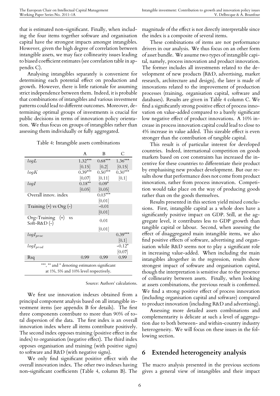that is estimated non-significant. Finally, when including the four items together software and organisation capital have the strongest impacts amongst intangibles. However, given the high degree of correlation between intangible assets, we may face collinearity issues leading to biased coefficient estimates (see correlation table in appendix C).

Analysing intangibles separately is convenient for determining each potential effect on production and growth. However, there is little rationale for assuming strict independence between them. Indeed, it is probable that combinations of intangibles and various investment patterns could lead to different outcomes. Moreover, determining optimal groups of investments is crucial for public decisions in terms of innovation policy orientation. We thus focus on groups of intangibles rather than assessing them individually or fully aggregated.

Table 4: Intangible assets combinations

|                                                                                        | A         | B.        | C         |  |  |
|----------------------------------------------------------------------------------------|-----------|-----------|-----------|--|--|
| logL                                                                                   | $1.32***$ | $0.68***$ | $1.36***$ |  |  |
|                                                                                        | [0.15]    | [0.2]     | [0.15]    |  |  |
| logK                                                                                   | $0.39***$ | $0.50***$ | $0.30***$ |  |  |
|                                                                                        | [0.07]    | [0.11]    | [0.1]     |  |  |
| logI                                                                                   | $0.18***$ | $0.09*$   |           |  |  |
|                                                                                        | [0.05]    | [0.05]    |           |  |  |
| Overall innov. index                                                                   |           | $0.03***$ |           |  |  |
|                                                                                        |           | [0.01]    |           |  |  |
| Training $(+)$ vs Org $(-)$                                                            |           | $-0.01$   |           |  |  |
|                                                                                        |           | [0.01]    |           |  |  |
| $Org-Training$ (+)<br><b>VS</b><br>Soft-R&D $(-)$                                      |           | 0.01      |           |  |  |
|                                                                                        |           | [0.01]    |           |  |  |
| $logI_{proc}$                                                                          |           |           | $0.39***$ |  |  |
|                                                                                        |           |           | [0.1]     |  |  |
| $logI_{prod}$                                                                          |           |           | $-0.12*$  |  |  |
|                                                                                        |           |           | [0.07]    |  |  |
| Rsq                                                                                    | 0.99      | 0.99      | 0.99      |  |  |
| ***, ** and * denoting estimators significant<br>at 1%, 5% and 10% level respectively. |           |           |           |  |  |

Source: Authors' calculations.

We first use innovation indexes obtained from a principal component analysis based on all intangible investment items (see appendix B for details). The first three components contribute to more than 90% of total dispersion of the data. The first index is an overall innovation index where all items contribute positively. The second index opposes training (positive effect in the index) to organisation (negative effect). The third index opposes organisation and training (with positive signs) to software and R&D (with negative signs).

We only find significant positive effect with the overall innovation index. The other two indexes having non-significant coefficients (Table 4, column B). The magnitude of the effect is not directly interpretable since the index is a composite of several items.

These combinations of items are not performance drivers in our analysis. We thus focus on an other form of asset bundle. We assume two types of intangible capital, namely, process innovation and product innovation. The former includes all investments related to the development of new products (R&D, advertising, market research, architecture and design), the later is made of innovations related to the improvement of production processes (training, organisation capital, software and databases). Results are given in Table 4 column C. We find a significantly strong positive effect of process innovation on value-added compared to a barely significant low negative effect of product innovations. A 10% increase in process innovation capital could lead to close to 4% increase in value added. This sizeable effect is even stronger than the contribution of tangible capital.

This result is of particular interest for developed countries. Indeed, international competition on goods markets based on cost constraints has increased the incentive for these countries to differentiate their product by emphasising new product development. But our results show that performance does not come from product innovation, rather from process innovation. Competition would take place on the way of producing goods rather than on the goods themselves.

Results presented in this section yield mixed conclusions. First, intangible capital as a whole does have a significantly positive impact on GDP. Still, at the aggregate level, it contributes less to GDP growth than tangible capital or labour. Second, when assessing the effect of disaggregated main intangible items, we also find positive effects of software, advertising and organisation while R&D seems not to play a significant role in increasing value-added. When including the main intangibles altogether in the regression, results show strongest impact of software and organisation capital, though the interpretation is sensitive due to the presence of collinearity between assets. Finally, when looking at assets combinations, the previous result is confirmed. We find a strong positive effect of process innovation (including organisation capital and software) compared to product innovation (including R&D and advertising).

Assessing more detailed assets combinations and complementarity is delicate at such a level of aggregation due to both between- and within-country industry heterogeneity. We will focus on these issues in the following section.

## **6 Extended heterogeneity analysis**

The macro analysis presented in the previous sections gives a general view of intangibles and their impact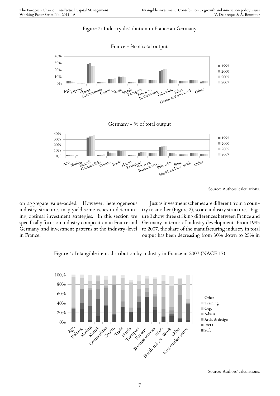#### Figure 3: Industry distribution in France an Germany

France - % of total output



Source: Authors' calculations.

on aggregate value-added. However, heterogeneous industry-structures may yield some issues in determining optimal investment strategies. In this section we specifically focus on industry composition in France and Germany and investment patterns at the industry-level in France.

Just as investment schemes are different from a country to another (Figure 2), so are industry structures. Figure 3 show three striking differences between France and Germany in terms of industry development. From 1995 to 2007, the share of the manufacturing industry in total output has been decreasing from 30% down to 25% in

Figure 4: Intangible items distribution by industry in France in 2007 (NACE 17)



Source: Authors' calculations.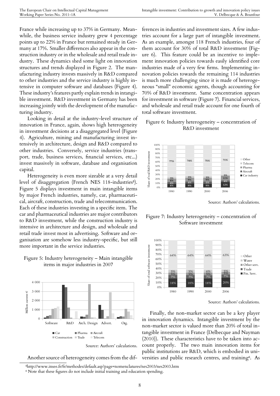France while increasing up to 37% in Germany. Meanwhile, the business service industry grew 4 percentage points up to 22% in France but remained steady in Germany at 17%. Smaller differences also appear in the construction industry or in the wholesale and retail trade industry. These dynamics shed some light on innovation structures and trends displayed in Figure 2. The manufacturing industry invests massively in R&D compared to other industries and the service industry is highly intensive in computer software and databases (Figure 4). These industry's features partly explain trends in intangible investment. R&D investment in Germany has been increasing jointly with the development of the manufacturing industry.

Looking in detail at the industry-level structure of innovation in France, again, shows high heterogeneity in investment decisions at a disaggregated level (Figure 4). Agriculture, mining and manufacturing invest intensively in architecture, design and R&D compared to other industries. Conversely, service industries (transport, trade, business services, financial services, etc...) invest massively in software, database and organisation capital.

Heterogeneity is even more sizeable at a very detail level of disaggregation (French NES 118-industries<sup>5</sup>). Figure 5 displays investment in main intangible items by major French industries, namely, car, pharmaceutical, aircraft, construction, trade and telecommunicati[on](#page-8-0). Each of these industries investing in a specific item. The car and pharmaceutical industries are major contributors to R&D investment, while the construction industry is intensive in architecture and design, and wholesale and retail trade invest most in advertising. Software and organisation are somehow less industry-specific, but still more important in the service industries.

#### Figure 5: Industry heterogeneity – Main intangible items in major industries in 2007



Source: Authors' calculations.

Another source of heterogeneity comes from the dif-

ferences in industries and investment sizes. A few industries account for a large part of intangible investment. As an example, amongst 118 French industries, four of them account for 30% of total R&D investment (Figure 6). This feature could be an incentive to implement innovation policies towards easily identified core industries made of a very few firms. Implementing innovation policies towards the remaining 114 industries is much more challenging since it is made of heterogeneous "small" economic agents, though accounting for 70% of R&D investment. Same concentration appears for investment in software (Figure 7). Financial services, and wholesale and retail trade account for one fourth of total software investment.

#### Figure 6: Industry heterogeneity – concentration of R&D investment



Source: Authors' calculations.

Figure 7: Industry heterogeneity – concentration of Software investment



Source: Authors' calculations.

Finally, the non-market sector can be a key player in innovation dynamics. Intangible investment by the non-market sector is valued more than 20% of total intangible investment in France (Delbecque and Nayman (2010)). These characteristics have to be taken into account properly. The two main innovation items for public institutions are R&D, which is embodied in universities and public research centres, and training<sup>6</sup>. As

⁵http://www.insee.fr/fr/methodes/default.asp?page=nomenclatures/nes2003/nes2003.htm

<span id="page-8-0"></span>⁶ Note that these figures do not include initial training and education spending.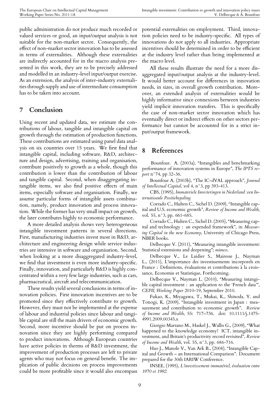public administration do not produce much recorded or valued services or good, an input/output analysis is not suitable for the non-market sector. Consequently, the effect of non-market sector innovation has to be assessed in terms of externalities. Although these externalities are indirectly accounted for in the macro analysis presented in this work, they are to be precisely addressed and modelled in an industry-level input/output exercise. As an extension, the analysis of inter-industry externalities through supply and use of intermediate consumption has to be taken into account.

## **7 Conclusion**

Using recent and updated data, we estimate the contributions of labour, tangible and intangible capital on growth through the estimation of production functions. These contributions are estimated using panel data analysis on six countries over 15 years. We first find that intangible capital, including software, R&D, architecture and design, advertising, training and organisation, contribute positively to growth as a whole, though this contribution is lower than the contribution of labour and tangible capital. Second, when disaggregating intangible items, we also find positive effects of main items, especially software and organisation. Finally, we assume particular forms of intangible assets combination, namely, product innovation and process innovation. While the former has very small impact on growth, the later contributes highly to economic performance.

A more detailed analysis shows very heterogeneous intangible investment patterns in several directions. First, manufacturing industries invest most in R&D, architecture and engineering design while service industries are intensive in software and organisation. Second, when looking at a more disaggregated industry-level, we find that investment is even more industry-specific. Finally, innovation, and particularly R&D is highly concentrated within a very few large industries, such as cars, pharmaceutical, aircraft and telecommunication.

These results yield several conclusions in terms of innovation policies. First innovation incentives are to be promoted since they effectively contribute to growth. However, they must not be implemented at the expense of labour and industrial policies since labour and tangible capital are still the main drivers of economic growth. Second, more incentive should be put on process innovation since they are highly performing compared to product innovations. Although European countries have active policies in therms of R&D investment, the improvement of production processes are left to private agents who may not focus on general benefit. The implication of public decisions on process improvements could be more profitable since it would also encompass

potential externalities on employment. Third, innovation policies need to be industry-specific. All types of innovations do not apply to all industries. Appropriate incentives should be determined in order to be efficient at the industry level rather than being implemented at the macro level.

All these results illustrate the need for a more disaggregated input/output analysis at the industry-level. It would better account for differences in innovation needs, in sizes, in overall growth contribution. Moreover, an extended analysis of externalities would be highly informative since connexions between industries yield implicit innovation transfers. This is specifically the case of non-market sector innovation which has eventually direct or indirect effects on other sectors performance but cannot be accounted for in a strict input/output framework.

## **8 References**

Bounfour. A. (2003a), "Intangibles and benchmarking performance of innovation systems in Europe", *The IPTS report* n°74, pp 32-36.

Bounfour A. (2003b), "The IC-dVAL approach", *Journal of Intellectual Capital*, vol 4, n°3, pp 393-413.

CBS, (1995), *Immateriele Investeringen in Nederland :een Internatioanle Positiebepaling.*

Corrado C., Hulten C., Sichel D. (2009), "Intangible capital and U.S. economic growth", *Review of Income and Wealth*, vol. 55, n°3, pp. 661-685.

Corrado C., Hulten C., Sichel D. (2005), "Measuring capital and technology : an expended framework", in *Measuring Capital in the new Economy*, University of Chicago Press, NBER books.

Delbecque V. (2011), "Measuring intangible investment: Statistical extensions and deepening"; *mimeo*.

Delbecque V., Le Laidier S., Mairesse J., Nayman L., (2011), L'importance des investissements incorporels en France : Definitions, évaluations et contributions à la croissance, Economie et Statistique, Forthcoming.

Delbecque V., Nayman L. (2010), "Measuring intangible capital investment : an application to the 'French data'", *CEPII, Working Paper* 2010-19, September 2010.

Fukao, K., Miyagawa, T., Mukai, K., Shinoda, Y. and Tonogi, K. (2009), "Intangible investment in Japan : measurement and contribution to economic growth". *Review of Income and Wealth*, 55: 717–736. doi: 10.1111/j.1475- 4991.2009.00345.x

Giorgio Marrano M., Haskel J., Wallis G., (2009), "What happened to the knowledge economy? ICT, intangible investment, and Britain's productivity record revisited", *Review of Income and Wealth*, vol. 55, n°3, pp. 686-716.

Hao J., Manole V., Van Ark B., (2008), "Intangible Capital and Growth – an International Comparison". Document prepared for the 30th IARIW Conference.

INSEE, (1995), *L'investissement immatériel, évaluation entre 1970 et 1992.*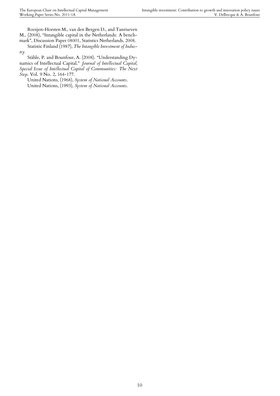Rooijen-Horsten M., van den Bergen D., and Tanriseven M., (2008), "Intangible capital in the Netherlands: A benchmark", Discussion Paper 08001, Statistics Netherlands, 2008.

Statistic Finland (1987), *The Intangible Investment of Industry.*

Ståhle, P. and Bounfour, A. (2008). "Understanding Dynamics of Intellectual Capital." *Journal of Intellectual Capital, Special Issue of Intellectual Capital of Communities: The Next Step*. Vol. 9 No. 2, 164-177.

United Nations, (1968), *System of National Accounts*. United Nations, (1993), *System of National Accounts*.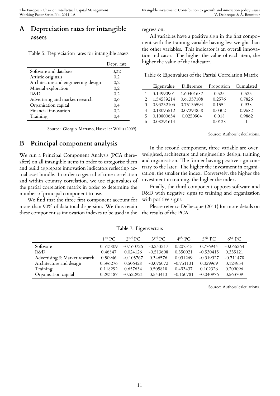## **A Depreciation rates for intangible assets**

Table 5: Depreciation rates for intangible assets

|                                     | Depr. rate |
|-------------------------------------|------------|
| Software and database               | 0,32       |
| Artistic originals                  | 0,2        |
| Architecture and engineering design | 0,2        |
| Mineral exploration                 | 0,2        |
| R&D                                 | 0,2        |
| Advertising and market research     | 0,6        |
| Organisation capital                | 0,4        |
| Financial innovation                | 0,2        |
| Training                            | 0,4        |

Source : Giorgio-Marrano, Haskel et Wallis (2009).

## **B Principal component analysis**

We run a Principal Component Analysis (PCA thereafter) on all intangible items in order to categorise them and build aggregate innovation indicators reflecting actual asset bundle. In order to get rid of time correlation and within-country correlation, we use eigenvalues of the partial correlation matrix in order to determine the number of principal component to use.

We find that the three first component account for more than 90% of data total dispersion. We thus retain these component as innovation indexes to be used in the

regression.

All variables have a positive sign in the first component with the training variable having less weight than the other variables. This indicator is an overall innovation indicator. The higher the value of each item, the higher the value of the indicator.

Table 6: Eigenvalues of the Partial Correlation Matrix

|               | Eigenvalue | Difference | Proportion | Cumulated |
|---------------|------------|------------|------------|-----------|
|               | 3.14990901 | 1.60401687 | 0.525      | 0.525     |
|               | 1.54589214 | 0.61357108 | 0.2576     | 0.7826    |
| $\mathcal{E}$ | 0.93232106 | 0.75136594 | 0.1554     | 0.938     |
|               | 0.18095512 | 0.07294858 | 0.0302     | 0.9682    |
| 5             | 0.10800654 | 0.0250904  | 0.018      | 0.9862    |
|               | 0.08291614 |            | 0.0138     |           |

Source: Authors' calculations.

In the second component, three variable are overweighted, architecture and engineering design, training and organisation. The former having positive sign contrary to the later. The higher the investment in organisation, the smaller the index. Conversely, the higher the investment in training, the higher the index.

Finally, the third component opposes software and R&D with negative signs to training and organisation with positive signs.

Please refer to Delbecque (2011) for more details on the results of the PCA.

|                               | $1^{st}$ PC | $2^{nd}$ PC | $3^{rd}$ PC | $4^{th}$ PC | $5^{th}$ PC | $6^{th}$ PC. |
|-------------------------------|-------------|-------------|-------------|-------------|-------------|--------------|
| Software                      | 0.513809    | $-0.160726$ | $-0.243217$ | 0.207315    | 0.776944    | $-0.066264$  |
| $R\&D$                        | 0.46847     | 0.024126    | $-0.513608$ | 0.350021    | $-0.530415$ | 0.335121     |
| Advertising & Market research | 0.50946     | $-0.105767$ | 0.346576    | 0.031269    | $-0.319327$ | $-0.711478$  |
| Architecture and design       | 0.396276    | 0.506428    | $-0.076072$ | $-0.751131$ | 0.029969    | 0.124954     |
| Training                      | 0.118292    | 0.657634    | 0.505818    | 0.493437    | 0.102326    | 0.209096     |
| Organisation capital          | 0.293187    | $-0.522921$ | 0.543413    | $-0.160781$ | $-0.040976$ | 0.563709     |

Table 7: Eigenvectors

Source: Authors' calculations.